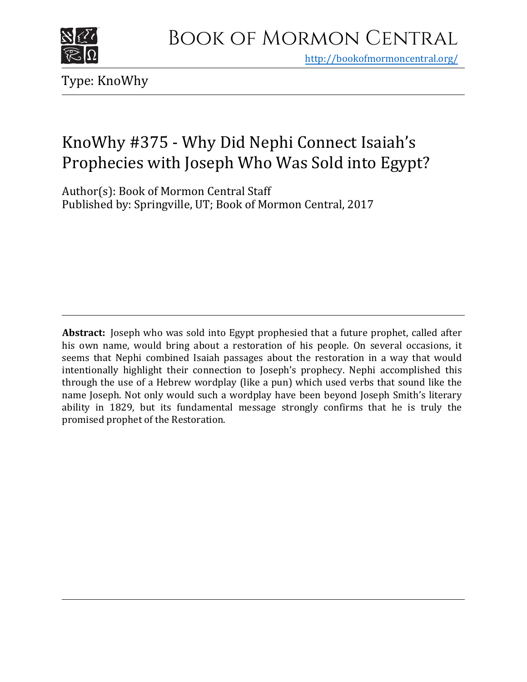

<http://bookofmormoncentral.org/>

Type: KnoWhy

## KnoWhy #375 - Why Did Nephi Connect Isaiah's Prophecies with Joseph Who Was Sold into Egypt?

Author(s): Book of Mor[mon Central Staff](http://bookofmormoncentral.org/)  Published by: Springville, UT; Book of Mormon Central, 2017

**Abstract:** Joseph who was sold into Egypt prophesied that a future prophet, called after his own name, would bring about a restoration of his people. On several occasions, it seems that Nephi combined Isaiah passages about the restoration in a way that would intentionally highlight their connection to Joseph's prophecy. Nephi accomplished this through the use of a Hebrew wordplay (like a pun) which used verbs that sound like the name Joseph. Not only would such a wordplay have been beyond Joseph Smith's literary ability in 1829, but its fundamental message strongly confirms that he is truly the promised prophet of the Restoration.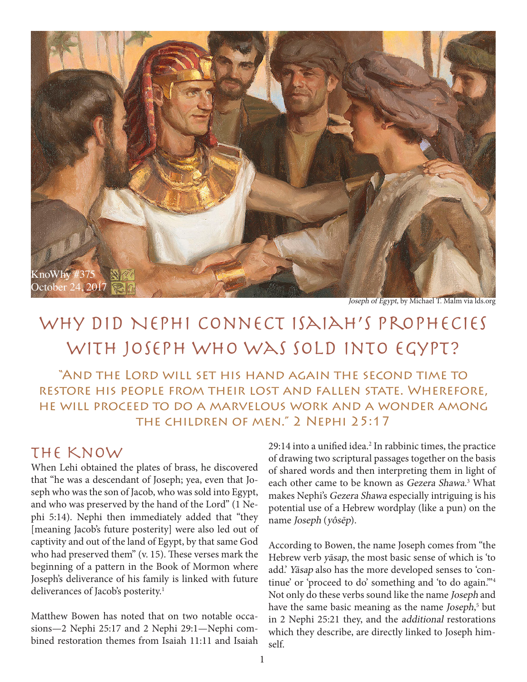

Joseph of Egypt, by Michael T. Malm via lds.org

# WHY DID NEPHI CONNECT ISAIAH'S PROPHECIES with Joseph Who Was Sold into Egypt?

"And the Lord will set his hand again the second time to restore his people from their lost and fallen state. Wherefore, he will proceed to do a marvelous work and a wonder among the children of men." 2 Nephi 25:17

#### The Know

When Lehi obtained the plates of brass, he discovered that "he was a descendant of Joseph; yea, even that Joseph who was the son of Jacob, who was sold into Egypt, and who was preserved by the hand of the Lord" (1 Nephi 5:14). Nephi then immediately added that "they [meaning Jacob's future posterity] were also led out of captivity and out of the land of Egypt, by that same God who had preserved them" (v. 15). These verses mark the beginning of a pattern in the Book of Mormon where Joseph's deliverance of his family is linked with future deliverances of Jacob's posterity.<sup>1</sup>

Matthew Bowen has noted that on two notable occasions—2 Nephi 25:17 and 2 Nephi 29:1—Nephi combined restoration themes from Isaiah 11:11 and Isaiah 29:14 into a unified idea.<sup>2</sup> In rabbinic times, the practice of drawing two scriptural passages together on the basis of shared words and then interpreting them in light of each other came to be known as Gezera Shawa. 3 What makes Nephi's Gezera Shawa especially intriguing is his potential use of a Hebrew wordplay (like a pun) on the name Joseph (yôsēp).

According to Bowen, the name Joseph comes from "the Hebrew verb yāsap, the most basic sense of which is 'to add.' Yāsap also has the more developed senses to 'continue' or 'proceed to do' something and 'to do again.'"4 Not only do these verbs sound like the name Joseph and have the same basic meaning as the name Joseph,<sup>5</sup> but in 2 Nephi 25:21 they, and the additional restorations which they describe, are directly linked to Joseph himself.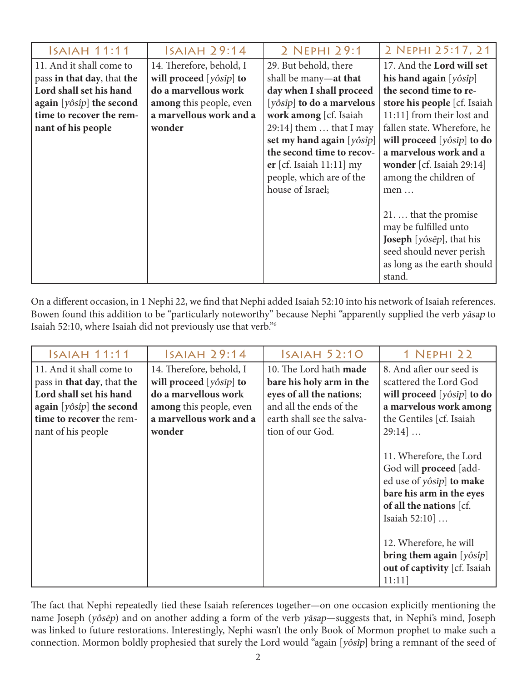| <b>ISAIAH 11:11</b>                    | <b>ISAIAH 29:14</b>             | 2 NEPHI 29:1                             | 2 NEPHI 25:17, 21                                                  |
|----------------------------------------|---------------------------------|------------------------------------------|--------------------------------------------------------------------|
| 11. And it shall come to               | 14. Therefore, behold, I        | 29. But behold, there                    | 17. And the Lord will set                                          |
| pass in that day, that the             | will proceed $[y\hat{o}sip]$ to | shall be many—at that                    | his hand again $[y\delta s\hat{i}p]$                               |
| Lord shall set his hand                | do a marvellous work            | day when I shall proceed                 | the second time to re-                                             |
| again $[y\delta s\hat{i}p]$ the second | among this people, even         | $[y\hat{o}sip]$ to do a marvelous        | store his people [cf. Isaiah                                       |
| time to recover the rem-               | a marvellous work and a         | work among [cf. Isaiah                   | 11:11] from their lost and                                         |
| nant of his people                     | wonder                          | 29:14] them  that I may                  | fallen state. Wherefore, he                                        |
|                                        |                                 | set my hand again $[y\delta s \hat{i}p]$ | will proceed $[y\hat{o}sip]$ to do                                 |
|                                        |                                 | the second time to recov-                | a marvelous work and a                                             |
|                                        |                                 | er [cf. Isaiah $11:11$ ] my              | wonder [cf. Isaiah 29:14]                                          |
|                                        |                                 | people, which are of the                 | among the children of                                              |
|                                        |                                 | house of Israel;                         | men                                                                |
|                                        |                                 |                                          |                                                                    |
|                                        |                                 |                                          | 21.  that the promise                                              |
|                                        |                                 |                                          | may be fulfilled unto                                              |
|                                        |                                 |                                          | <b>Joseph</b> [ $y\hat{o}$ <i>s</i> $\vec{e}$ <i>p</i> ], that his |
|                                        |                                 |                                          | seed should never perish                                           |
|                                        |                                 |                                          | as long as the earth should                                        |
|                                        |                                 |                                          | stand.                                                             |

On a different occasion, in 1 Nephi 22, we find that Nephi added Isaiah 52:10 into his network of Isaiah references. Bowen found this addition to be "particularly noteworthy" because Nephi "apparently supplied the verb yāsap to Isaiah 52:10, where Isaiah did not previously use that verb."6

| Isaiah 11:11                           | ISAIAH 29:14                    | <b>ISAIAH 52:10</b>        | 1 NEPHI 22                                                                                                                                            |
|----------------------------------------|---------------------------------|----------------------------|-------------------------------------------------------------------------------------------------------------------------------------------------------|
| 11. And it shall come to               | 14. Therefore, behold, I        | 10. The Lord hath made     | 8. And after our seed is                                                                                                                              |
| pass in that day, that the             | will proceed $[y\hat{o}sip]$ to | bare his holy arm in the   | scattered the Lord God                                                                                                                                |
| Lord shall set his hand                | do a marvellous work            | eyes of all the nations;   | will proceed [yôsīp] to do                                                                                                                            |
| again $[y\delta s\hat{i}p]$ the second | among this people, even         | and all the ends of the    | a marvelous work among                                                                                                                                |
| time to recover the rem-               | a marvellous work and a         | earth shall see the salva- | the Gentiles [cf. Isaiah                                                                                                                              |
| nant of his people                     | wonder                          | tion of our God.           | $29:14$                                                                                                                                               |
|                                        |                                 |                            | 11. Wherefore, the Lord<br>God will proceed [add-<br>ed use of yôsīp] to make<br>bare his arm in the eyes<br>of all the nations [cf.<br>Isaiah 52:10] |
|                                        |                                 |                            | 12. Wherefore, he will                                                                                                                                |
|                                        |                                 |                            | bring them again $[y\delta \hat{\mathfrak{sp}}]$                                                                                                      |
|                                        |                                 |                            | out of captivity [cf. Isaiah                                                                                                                          |
|                                        |                                 |                            | 11:11                                                                                                                                                 |

The fact that Nephi repeatedly tied these Isaiah references together—on one occasion explicitly mentioning the name Joseph (yôsēp) and on another adding a form of the verb yāsap—suggests that, in Nephi's mind, Joseph was linked to future restorations. Interestingly, Nephi wasn't the only Book of Mormon prophet to make such a connection. Mormon boldly prophesied that surely the Lord would "again [yôsîp] bring a remnant of the seed of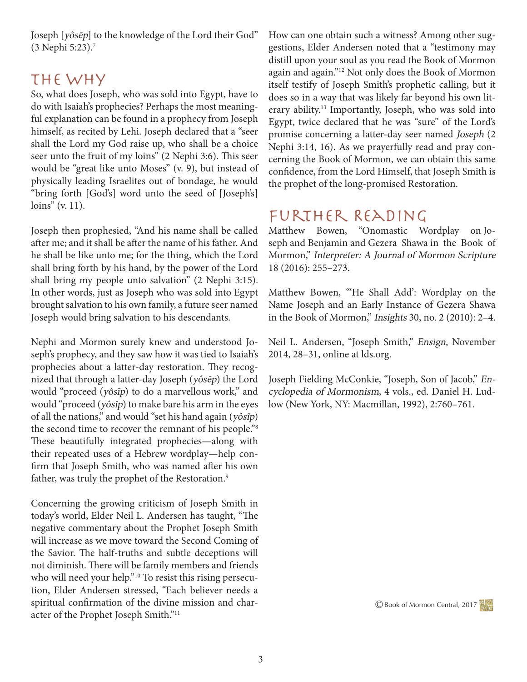Joseph [yôsēp] to the knowledge of the Lord their God" (3 Nephi 5:23).7

#### The Why

So, what does Joseph, who was sold into Egypt, have to do with Isaiah's prophecies? Perhaps the most meaningful explanation can be found in a prophecy from Joseph himself, as recited by Lehi. Joseph declared that a "seer shall the Lord my God raise up, who shall be a choice seer unto the fruit of my loins" (2 Nephi 3:6). This seer would be "great like unto Moses" (v. 9), but instead of physically leading Israelites out of bondage, he would "bring forth [God's] word unto the seed of [Joseph's] loins" (v. 11).

Joseph then prophesied, "And his name shall be called after me; and it shall be after the name of his father. And he shall be like unto me; for the thing, which the Lord shall bring forth by his hand, by the power of the Lord shall bring my people unto salvation" (2 Nephi 3:15). In other words, just as Joseph who was sold into Egypt brought salvation to his own family, a future seer named Joseph would bring salvation to his descendants.

Nephi and Mormon surely knew and understood Joseph's prophecy, and they saw how it was tied to Isaiah's prophecies about a latter-day restoration. They recognized that through a latter-day Joseph (yôsēp) the Lord would "proceed (yôsīp) to do a marvellous work," and would "proceed (yôsīp) to make bare his arm in the eyes of all the nations," and would "set his hand again (yôsîp) the second time to recover the remnant of his people."8 These beautifully integrated prophecies—along with their repeated uses of a Hebrew wordplay—help confirm that Joseph Smith, who was named after his own father, was truly the prophet of the Restoration.<sup>9</sup>

Concerning the growing criticism of Joseph Smith in today's world, Elder Neil L. Andersen has taught, "The negative commentary about the Prophet Joseph Smith will increase as we move toward the Second Coming of the Savior. The half-truths and subtle deceptions will not diminish. There will be family members and friends who will need your help."<sup>10</sup> To resist this rising persecution, Elder Andersen stressed, "Each believer needs a spiritual confirmation of the divine mission and character of the Prophet Joseph Smith."11

How can one obtain such a witness? Among other suggestions, Elder Andersen noted that a "testimony may distill upon your soul as you read the Book of Mormon again and again."12 Not only does the Book of Mormon itself testify of Joseph Smith's prophetic calling, but it does so in a way that was likely far beyond his own literary ability.13 Importantly, Joseph, who was sold into Egypt, twice declared that he was "sure" of the Lord's promise concerning a latter-day seer named Joseph (2 Nephi 3:14, 16). As we prayerfully read and pray concerning the Book of Mormon, we can obtain this same confidence, from the Lord Himself, that Joseph Smith is the prophet of the long-promised Restoration.

### Further Reading

Matthew Bowen, "Onomastic Wordplay on Joseph and Benjamin and Gezera Shawa in the Book of Mormon," Interpreter: A Journal of Mormon Scripture 18 (2016): 255–273.

Matthew Bowen, "'He Shall Add': Wordplay on the Name Joseph and an Early Instance of Gezera Shawa in the Book of Mormon," Insights 30, no. 2 (2010): 2–4.

Neil L. Andersen, "Joseph Smith," Ensign, November 2014, 28–31, online at lds.org.

Joseph Fielding McConkie, "Joseph, Son of Jacob," Encyclopedia of Mormonism, 4 vols., ed. Daniel H. Ludlow (New York, NY: Macmillan, 1992), 2:760–761.